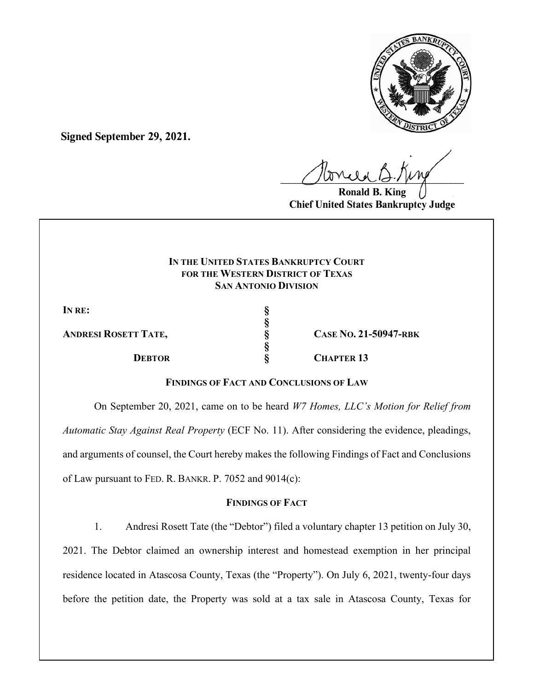

**Signed September 29, 2021.**

 $U^{WVQQ}$ 

**Ronald B. K Chief United States Bankruptcy Judge**

## **IN THE UNITED STATES BANKRUPTCY COURT FOR THE WESTERN DISTRICT OF TEXAS SAN ANTONIO DIVISION**

**§** 

**§** 

IN RE:

**ANDRESI ROSETT TATE, § CASE NO. 21-50947-RBK**

**DEBTOR § CHAPTER 13** 

# **FINDINGS OF FACT AND CONCLUSIONS OF LAW**

On September 20, 2021, came on to be heard *W7 Homes, LLC's Motion for Relief from Automatic Stay Against Real Property* (ECF No. 11). After considering the evidence, pleadings, and arguments of counsel, the Court hereby makes the following Findings of Fact and Conclusions of Law pursuant to FED. R. BANKR. P. 7052 and 9014(c):

## **FINDINGS OF FACT**

1. Andresi Rosett Tate (the "Debtor") filed a voluntary chapter 13 petition on July 30, 2021. The Debtor claimed an ownership interest and homestead exemption in her principal residence located in Atascosa County, Texas (the "Property"). On July 6, 2021, twenty-four days before the petition date, the Property was sold at a tax sale in Atascosa County, Texas for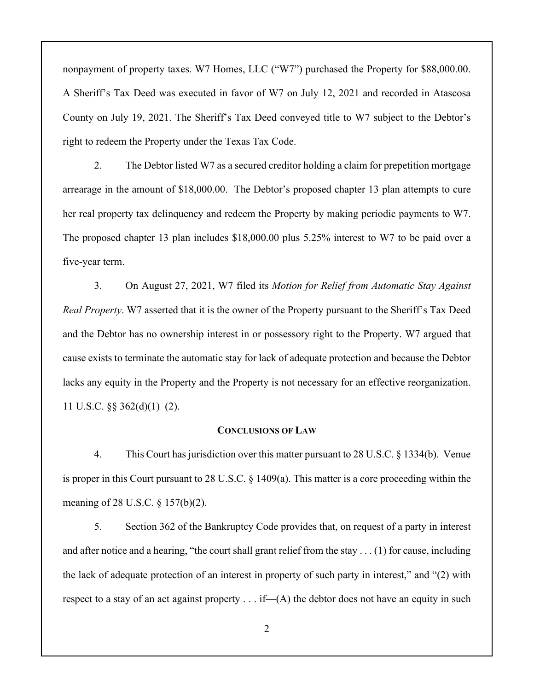nonpayment of property taxes. W7 Homes, LLC ("W7") purchased the Property for \$88,000.00. A Sheriff's Tax Deed was executed in favor of W7 on July 12, 2021 and recorded in Atascosa County on July 19, 2021. The Sheriff's Tax Deed conveyed title to W7 subject to the Debtor's right to redeem the Property under the Texas Tax Code.

2. The Debtor listed W7 as a secured creditor holding a claim for prepetition mortgage arrearage in the amount of \$18,000.00. The Debtor's proposed chapter 13 plan attempts to cure her real property tax delinquency and redeem the Property by making periodic payments to W7. The proposed chapter 13 plan includes \$18,000.00 plus 5.25% interest to W7 to be paid over a five-year term.

3. On August 27, 2021, W7 filed its *Motion for Relief from Automatic Stay Against Real Property*. W7 asserted that it is the owner of the Property pursuant to the Sheriff's Tax Deed and the Debtor has no ownership interest in or possessory right to the Property. W7 argued that cause exists to terminate the automatic stay for lack of adequate protection and because the Debtor lacks any equity in the Property and the Property is not necessary for an effective reorganization. 11 U.S.C.  $\S$ § 362(d)(1)–(2).

#### **CONCLUSIONS OF LAW**

4. This Court has jurisdiction over this matter pursuant to 28 U.S.C. § 1334(b). Venue is proper in this Court pursuant to 28 U.S.C. § 1409(a). This matter is a core proceeding within the meaning of 28 U.S.C. § 157(b)(2).

5. Section 362 of the Bankruptcy Code provides that, on request of a party in interest and after notice and a hearing, "the court shall grant relief from the stay  $\dots$  (1) for cause, including the lack of adequate protection of an interest in property of such party in interest," and "(2) with respect to a stay of an act against property  $\dots$  if—(A) the debtor does not have an equity in such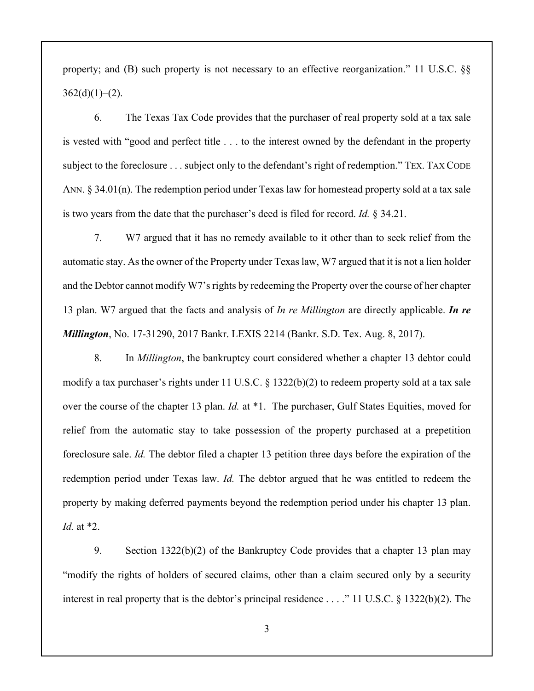property; and (B) such property is not necessary to an effective reorganization." 11 U.S.C. §§  $362(d)(1)-(2)$ .

6. The Texas Tax Code provides that the purchaser of real property sold at a tax sale is vested with "good and perfect title . . . to the interest owned by the defendant in the property subject to the foreclosure . . . subject only to the defendant's right of redemption." TEX. TAX CODE ANN. § 34.01(n). The redemption period under Texas law for homestead property sold at a tax sale is two years from the date that the purchaser's deed is filed for record. *Id.* § 34.21.

7. W7 argued that it has no remedy available to it other than to seek relief from the automatic stay. As the owner of the Property under Texas law, W7 argued that it is not a lien holder and the Debtor cannot modify W7's rights by redeeming the Property over the course of her chapter 13 plan. W7 argued that the facts and analysis of *In re Millington* are directly applicable. *In re Millington*, No. 17-31290, 2017 Bankr. LEXIS 2214 (Bankr. S.D. Tex. Aug. 8, 2017).

8. In *Millington*, the bankruptcy court considered whether a chapter 13 debtor could modify a tax purchaser's rights under 11 U.S.C. § 1322(b)(2) to redeem property sold at a tax sale over the course of the chapter 13 plan. *Id.* at \*1. The purchaser, Gulf States Equities, moved for relief from the automatic stay to take possession of the property purchased at a prepetition foreclosure sale. *Id.* The debtor filed a chapter 13 petition three days before the expiration of the redemption period under Texas law. *Id.* The debtor argued that he was entitled to redeem the property by making deferred payments beyond the redemption period under his chapter 13 plan. *Id.* at \*2.

9. Section 1322(b)(2) of the Bankruptcy Code provides that a chapter 13 plan may "modify the rights of holders of secured claims, other than a claim secured only by a security interest in real property that is the debtor's principal residence . . . ." 11 U.S.C. § 1322(b)(2). The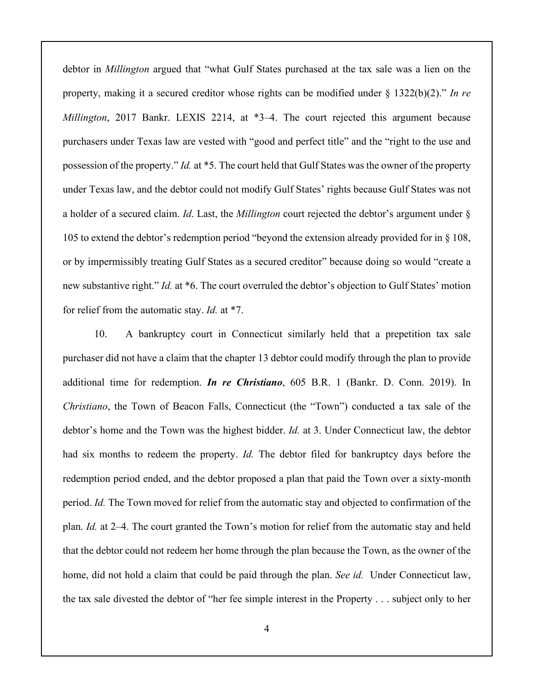debtor in *Millington* argued that "what Gulf States purchased at the tax sale was a lien on the property, making it a secured creditor whose rights can be modified under § 1322(b)(2)." *In re Millington*, 2017 Bankr. LEXIS 2214, at \*3–4. The court rejected this argument because purchasers under Texas law are vested with "good and perfect title" and the "right to the use and possession of the property." *Id.* at \*5. The court held that Gulf States was the owner of the property under Texas law, and the debtor could not modify Gulf States' rights because Gulf States was not a holder of a secured claim. *Id*. Last, the *Millington* court rejected the debtor's argument under § 105 to extend the debtor's redemption period "beyond the extension already provided for in § 108, or by impermissibly treating Gulf States as a secured creditor" because doing so would "create a new substantive right." *Id.* at \*6. The court overruled the debtor's objection to Gulf States' motion for relief from the automatic stay. *Id.* at \*7.

10. A bankruptcy court in Connecticut similarly held that a prepetition tax sale purchaser did not have a claim that the chapter 13 debtor could modify through the plan to provide additional time for redemption. *In re Christiano*, 605 B.R. 1 (Bankr. D. Conn. 2019). In *Christiano*, the Town of Beacon Falls, Connecticut (the "Town") conducted a tax sale of the debtor's home and the Town was the highest bidder. *Id.* at 3. Under Connecticut law, the debtor had six months to redeem the property. *Id.* The debtor filed for bankruptcy days before the redemption period ended, and the debtor proposed a plan that paid the Town over a sixty-month period. *Id.* The Town moved for relief from the automatic stay and objected to confirmation of the plan. *Id.* at 2–4. The court granted the Town's motion for relief from the automatic stay and held that the debtor could not redeem her home through the plan because the Town, as the owner of the home, did not hold a claim that could be paid through the plan. *See id.* Under Connecticut law, the tax sale divested the debtor of "her fee simple interest in the Property . . . subject only to her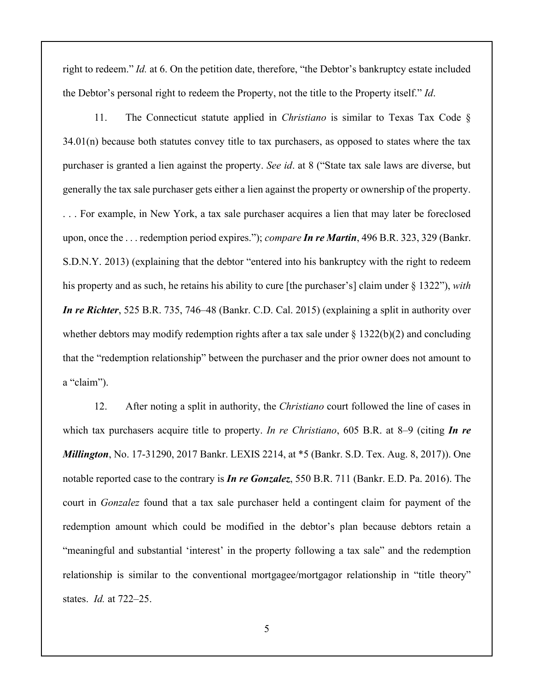right to redeem." *Id.* at 6. On the petition date, therefore, "the Debtor's bankruptcy estate included the Debtor's personal right to redeem the Property, not the title to the Property itself." *Id*.

11. The Connecticut statute applied in *Christiano* is similar to Texas Tax Code § 34.01(n) because both statutes convey title to tax purchasers, as opposed to states where the tax purchaser is granted a lien against the property. *See id*. at 8 ("State tax sale laws are diverse, but generally the tax sale purchaser gets either a lien against the property or ownership of the property. . . . For example, in New York, a tax sale purchaser acquires a lien that may later be foreclosed upon, once the . . . redemption period expires."); *compare In re Martin*, 496 B.R. 323, 329 (Bankr. S.D.N.Y. 2013) (explaining that the debtor "entered into his bankruptcy with the right to redeem his property and as such, he retains his ability to cure [the purchaser's] claim under § 1322"), *with In re Richter*, 525 B.R. 735, 746–48 (Bankr. C.D. Cal. 2015) (explaining a split in authority over whether debtors may modify redemption rights after a tax sale under  $\S 1322(b)(2)$  and concluding that the "redemption relationship" between the purchaser and the prior owner does not amount to a "claim").

12. After noting a split in authority, the *Christiano* court followed the line of cases in which tax purchasers acquire title to property. *In re Christiano*, 605 B.R. at 8–9 (citing *In re Millington*, No. 17-31290, 2017 Bankr. LEXIS 2214, at \*5 (Bankr. S.D. Tex. Aug. 8, 2017)). One notable reported case to the contrary is *In re Gonzalez*, 550 B.R. 711 (Bankr. E.D. Pa. 2016). The court in *Gonzalez* found that a tax sale purchaser held a contingent claim for payment of the redemption amount which could be modified in the debtor's plan because debtors retain a "meaningful and substantial 'interest' in the property following a tax sale" and the redemption relationship is similar to the conventional mortgagee/mortgagor relationship in "title theory" states. *Id.* at 722–25.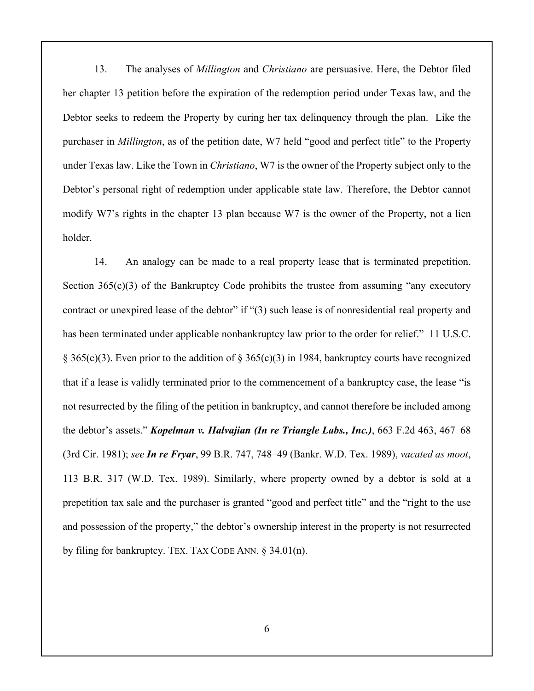13. The analyses of *Millington* and *Christiano* are persuasive. Here, the Debtor filed her chapter 13 petition before the expiration of the redemption period under Texas law, and the Debtor seeks to redeem the Property by curing her tax delinquency through the plan. Like the purchaser in *Millington*, as of the petition date, W7 held "good and perfect title" to the Property under Texas law. Like the Town in *Christiano*, W7 is the owner of the Property subject only to the Debtor's personal right of redemption under applicable state law. Therefore, the Debtor cannot modify W7's rights in the chapter 13 plan because W7 is the owner of the Property, not a lien holder.

14. An analogy can be made to a real property lease that is terminated prepetition. Section  $365(c)(3)$  of the Bankruptcy Code prohibits the trustee from assuming "any executory contract or unexpired lease of the debtor" if "(3) such lease is of nonresidential real property and has been terminated under applicable nonbankruptcy law prior to the order for relief." 11 U.S.C. § 365(c)(3). Even prior to the addition of § 365(c)(3) in 1984, bankruptcy courts have recognized that if a lease is validly terminated prior to the commencement of a bankruptcy case, the lease "is not resurrected by the filing of the petition in bankruptcy, and cannot therefore be included among the debtor's assets." *Kopelman v. Halvajian (In re Triangle Labs., Inc.)*, 663 F.2d 463, 467–68 (3rd Cir. 1981); *see In re Fryar*, 99 B.R. 747, 748–49 (Bankr. W.D. Tex. 1989), *vacated as moot*, 113 B.R. 317 (W.D. Tex. 1989). Similarly, where property owned by a debtor is sold at a prepetition tax sale and the purchaser is granted "good and perfect title" and the "right to the use and possession of the property," the debtor's ownership interest in the property is not resurrected by filing for bankruptcy. TEX. TAX CODE ANN. § 34.01(n).